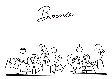Immie